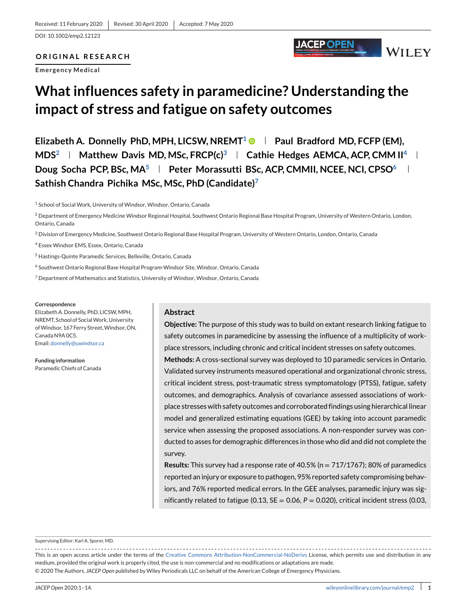DOI: 10.1002/emp2.12123

# **ORIGINAL RESEARCH**

**Emergency Medical**

# **What influences safety in paramedicine? Understanding the impact of stress and fatigue on safety outcomes**

**Elizabeth A. Donnelly PhD, MPH, LICSW, NREMT1 Paul Bradford MD, FCFP (EM), MDS<sup>2</sup> | Matthew Davis MD, MSc, FRCP(c)<sup>3</sup> | Cathie Hedges AEMCA, ACP, CMM II<sup>4</sup> | Doug Socha PCP, BSc, MA<sup>5</sup> Peter Morassutti BSc, ACP, CMMII, NCEE, NCI, CPSO<sup>6</sup> Sathish Chandra Pichika MSc, MSc, PhD (Candidate)7**

<sup>1</sup> School of Social Work, University of Windsor, Windsor, Ontario, Canada

<sup>3</sup> Division of Emergency Medicine, Southwest Ontario Regional Base Hospital Program, University of Western Ontario, London, Ontario, Canada

<sup>4</sup> Essex Windsor EMS, Essex, Ontario, Canada

- <sup>5</sup> Hastings-Quinte Paramedic Services, Belleville, Ontario, Canada
- <sup>6</sup> Southwest Ontario Regional Base Hospital Program-Windsor Site, Windsor, Ontario, Canada
- <sup>7</sup> Department of Mathematics and Statistics, University of Windsor, Windsor, Ontario, Canada

#### **Correspondence**

Elizabeth A. Donnelly, PhD, LICSW,MPH, NREMT, School of SocialWork, University ofWindsor, 167 Ferry Street,Windsor, ON, Canada N9A 0C5. Email: [donnelly@uwindsor.ca](mailto:donnelly@uwindsor.ca)

**Funding information** Paramedic Chiefs of Canada

## **Abstract**

**Objective:** The purpose of this study was to build on extant research linking fatigue to safety outcomes in paramedicine by assessing the influence of a multiplicity of workplace stressors, including chronic and critical incident stresses on safety outcomes. **Methods:** A cross-sectional survey was deployed to 10 paramedic services in Ontario. Validated survey instruments measured operational and organizational chronic stress, critical incident stress, post-traumatic stress symptomatology (PTSS), fatigue, safety outcomes, and demographics. Analysis of covariance assessed associations of workplace stresses with safety outcomes and corroborated findings using hierarchical linear model and generalized estimating equations (GEE) by taking into account paramedic service when assessing the proposed associations. A non-responder survey was conducted to asses for demographic differences in those who did and did not complete the survey.

JACEP OPEN

**WILEY** 

**Results:** This survey had a response rate of 40.5% (n = 717/1767); 80% of paramedics reported an injury or exposure to pathogen, 95% reported safety compromising behaviors, and 76% reported medical errors. In the GEE analyses, paramedic injury was significantly related to fatigue (0.13,  $SE = 0.06$ ,  $P = 0.020$ ), critical incident stress (0.03,

Supervising Editor: Karl A. Sporer, MD.

This is an open access article under the terms of the [Creative Commons Attribution-NonCommercial-NoDerivs](http://creativecommons.org/licenses/by-nc-nd/4.0/) License, which permits use and distribution in any medium, provided the original work is properly cited, the use is non-commercial and no modifications or adaptations are made. © 2020 The Authors. *JACEP Open* published by Wiley Periodicals LLC on behalf of the American College of Emergency Physicians.

<sup>&</sup>lt;sup>2</sup> Department of Emergency Medicine Windsor Regional Hospital, Southwest Ontario Regional Base Hospital Program, University of Western Ontario, London, Ontario, Canada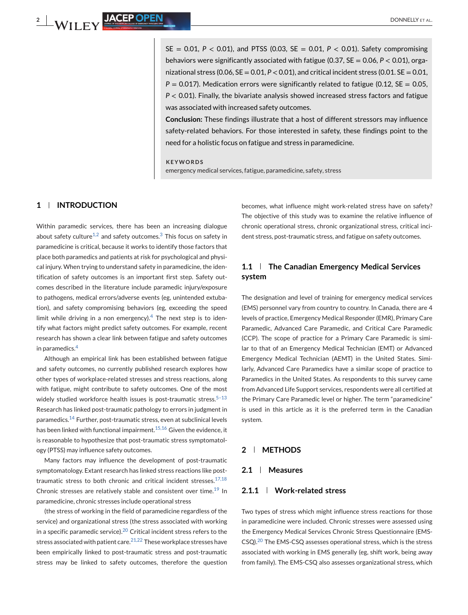$SE = 0.01$ ,  $P < 0.01$ ), and PTSS (0.03,  $SE = 0.01$ ,  $P < 0.01$ ). Safety compromising behaviors were significantly associated with fatigue (0.37, SE = 0.06, *P* < 0.01), organizational stress (0.06,  $SE = 0.01$ ,  $P < 0.01$ ), and critical incident stress (0.01,  $SE = 0.01$ ,  $P = 0.017$ ). Medication errors were significantly related to fatigue (0.12, SE = 0.05, *P* < 0.01). Finally, the bivariate analysis showed increased stress factors and fatigue was associated with increased safety outcomes.

**Conclusion:** These findings illustrate that a host of different stressors may influence safety-related behaviors. For those interested in safety, these findings point to the need for a holistic focus on fatigue and stress in paramedicine.

**KEYWORDS** emergency medical services, fatigue, paramedicine, safety, stress

# **1 INTRODUCTION**

Within paramedic services, there has been an increasing dialogue about safety culture<sup>1,2</sup> and safety outcomes.<sup>3</sup> This focus on safety in paramedicine is critical, because it works to identify those factors that place both paramedics and patients at risk for psychological and physical injury. When trying to understand safety in paramedicine, the identification of safety outcomes is an important first step. Safety outcomes described in the literature include paramedic injury/exposure to pathogens, medical errors/adverse events (eg, unintended extubation), and safety compromising behaviors (eg, exceeding the speed limit while driving in a non emergency).<sup>4</sup> The next step is to identify what factors might predict safety outcomes. For example, recent research has shown a clear link between fatigue and safety outcomes in paramedics.<sup>4</sup>

Although an empirical link has been established between fatigue and safety outcomes, no currently published research explores how other types of workplace-related stresses and stress reactions, along with fatigue, might contribute to safety outcomes. One of the most widely studied workforce health issues is post-traumatic stress. $5-13$ Research has linked post-traumatic pathology to errors in judgment in paramedics.<sup>14</sup> Further, post-traumatic stress, even at subclinical levels has been linked with functional impairment.<sup>15,16</sup> Given the evidence, it is reasonable to hypothesize that post-traumatic stress symptomatology (PTSS) may influence safety outcomes.

Many factors may influence the development of post-traumatic symptomatology. Extant research has linked stress reactions like posttraumatic stress to both chronic and critical incident stresses.<sup>17,18</sup> Chronic stresses are relatively stable and consistent over time.<sup>19</sup> In paramedicine, chronic stresses include operational stress

(the stress of working in the field of paramedicine regardless of the service) and organizational stress (the stress associated with working in a specific paramedic service). $20$  Critical incident stress refers to the stress associated with patient care. $21,22$  These workplace stresses have been empirically linked to post-traumatic stress and post-traumatic stress may be linked to safety outcomes, therefore the question becomes, what influence might work-related stress have on safety? The objective of this study was to examine the relative influence of chronic operational stress, chronic organizational stress, critical incident stress, post-traumatic stress, and fatigue on safety outcomes.

# **1.1 The Canadian Emergency Medical Services system**

The designation and level of training for emergency medical services (EMS) personnel vary from country to country. In Canada, there are 4 levels of practice, Emergency Medical Responder (EMR), Primary Care Paramedic, Advanced Care Paramedic, and Critical Care Paramedic (CCP). The scope of practice for a Primary Care Paramedic is similar to that of an Emergency Medical Technician (EMT) or Advanced Emergency Medical Technician (AEMT) in the United States. Similarly, Advanced Care Paramedics have a similar scope of practice to Paramedics in the United States. As respondents to this survey came from Advanced Life Support services, respondents were all certified at the Primary Care Paramedic level or higher. The term "paramedicine" is used in this article as it is the preferred term in the Canadian system.

## **2 METHODS**

## **2.1 Measures**

## **2.1.1 Work-related stress**

Two types of stress which might influence stress reactions for those in paramedicine were included. Chronic stresses were assessed using the Emergency Medical Services Chronic Stress Questionnaire (EMS-CSQ).<sup>20</sup> The EMS-CSQ assesses operational stress, which is the stress associated with working in EMS generally (eg, shift work, being away from family). The EMS-CSQ also assesses organizational stress, which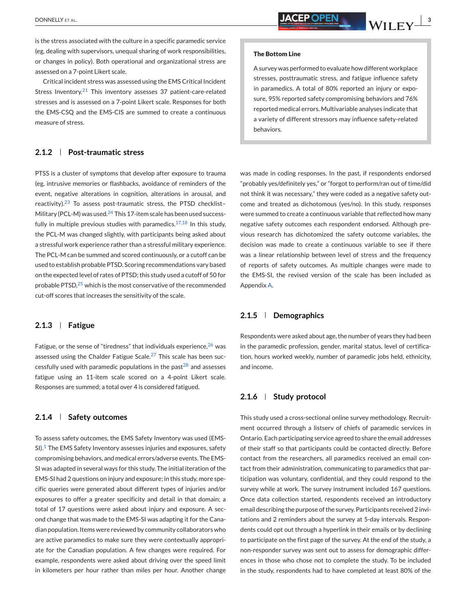is the stress associated with the culture in a specific paramedic service (eg, dealing with supervisors, unequal sharing of work responsibilities, or changes in policy). Both operational and organizational stress are assessed on a 7-point Likert scale.

Critical incident stress was assessed using the EMS Critical Incident Stress Inventory.<sup>21</sup> This inventory assesses 37 patient-care-related stresses and is assessed on a 7-point Likert scale. Responses for both the EMS-CSQ and the EMS-CIS are summed to create a continuous measure of stress.

## **2.1.2 Post-traumatic stress**

PTSS is a cluster of symptoms that develop after exposure to trauma (eg, intrusive memories or flashbacks, avoidance of reminders of the event, negative alterations in cognition, alterations in arousal, and reactivity).<sup>23</sup> To assess post-traumatic stress, the PTSD checklist-Military (PCL-M) was used.<sup>24</sup> This 17-item scale has been used successfully in multiple previous studies with paramedics.<sup>17,18</sup> In this study, the PCL-M was changed slightly, with participants being asked about a stressful work experience rather than a stressful military experience. The PCL-M can be summed and scored continuously, or a cutoff can be used to establish probable PTSD. Scoring recommendations vary based on the expected level of rates of PTSD; this study used a cutoff of 50 for probable PTSD,<sup>25</sup> which is the most conservative of the recommended cut-off scores that increases the sensitivity of the scale.

## **2.1.3 Fatigue**

Fatigue, or the sense of "tiredness" that individuals experience,  $26$  was assessed using the Chalder Fatigue Scale.<sup>27</sup> This scale has been successfully used with paramedic populations in the past<sup>28</sup> and assesses fatigue using an 11-item scale scored on a 4-point Likert scale. Responses are summed; a total over 4 is considered fatigued.

# **2.1.4 Safety outcomes**

To assess safety outcomes, the EMS Safety Inventory was used (EMS- $SI$ ).<sup>1</sup> The EMS Safety Inventory assesses injuries and exposures, safety compromising behaviors, and medical errors/adverse events. The EMS-SI was adapted in several ways for this study. The initial iteration of the EMS-SI had 2 questions on injury and exposure; in this study, more specific queries were generated about different types of injuries and/or exposures to offer a greater specificity and detail in that domain; a total of 17 questions were asked about injury and exposure. A second change that was made to the EMS-SI was adapting it for the Canadian population. Items were reviewed by community collaborators who are active paramedics to make sure they were contextually appropriate for the Canadian population. A few changes were required. For example, respondents were asked about driving over the speed limit in kilometers per hour rather than miles per hour. Another change

#### **The Bottom Line**

A survey was performed to evaluate how different workplace stresses, posttraumatic stress, and fatigue influence safety in paramedics. A total of 80% reported an injury or exposure, 95% reported safety compromising behaviors and 76% reported medical errors. Multivariable analyses indicate that a variety of different stressors may influence safety-related behaviors.

was made in coding responses. In the past, if respondents endorsed "probably yes/definitely yes," or "forgot to perform/ran out of time/did not think it was necessary," they were coded as a negative safety outcome and treated as dichotomous (yes/no). In this study, responses were summed to create a continuous variable that reflected how many negative safety outcomes each respondent endorsed. Although previous research has dichotomized the safety outcome variables, the decision was made to create a continuous variable to see if there was a linear relationship between level of stress and the frequency of reports of safety outcomes. As multiple changes were made to the EMS-SI, the revised version of the scale has been included as Appendix A.

## **2.1.5 Demographics**

Respondents were asked about age, the number of years they had been in the paramedic profession, gender, marital status, level of certification, hours worked weekly, number of paramedic jobs held, ethnicity, and income.

## **2.1.6 Study protocol**

This study used a cross-sectional online survey methodology. Recruitment occurred through a listserv of chiefs of paramedic services in Ontario. Each participating service agreed to share the email addresses of their staff so that participants could be contacted directly. Before contact from the researchers, all paramedics received an email contact from their administration, communicating to paramedics that participation was voluntary, confidential, and they could respond to the survey while at work. The survey instrument included 167 questions. Once data collection started, respondents received an introductory email describing the purpose of the survey. Participants received 2 invitations and 2 reminders about the survey at 5-day intervals. Respondents could opt out through a hyperlink in their emails or by declining to participate on the first page of the survey. At the end of the study, a non-responder survey was sent out to assess for demographic differences in those who chose not to complete the study. To be included in the study, respondents had to have completed at least 80% of the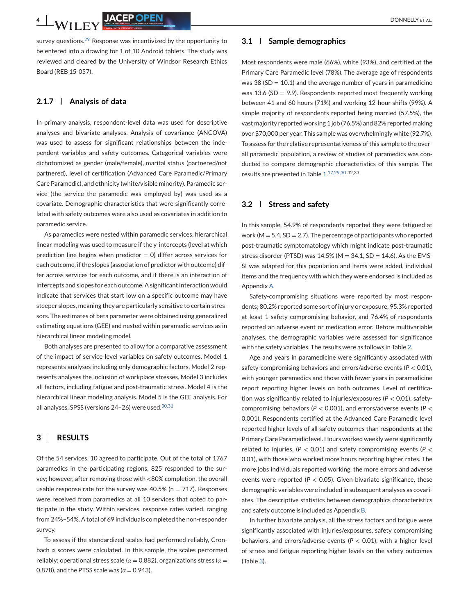survey questions. $2^9$  Response was incentivized by the opportunity to be entered into a drawing for 1 of 10 Android tablets. The study was reviewed and cleared by the University of Windsor Research Ethics Board (REB 15-057).

#### **2.1.7 Analysis of data**

In primary analysis, respondent-level data was used for descriptive analyses and bivariate analyses. Analysis of covariance (ANCOVA) was used to assess for significant relationships between the independent variables and safety outcomes. Categorical variables were dichotomized as gender (male/female), marital status (partnered/not partnered), level of certification (Advanced Care Paramedic/Primary Care Paramedic), and ethnicity (white/visible minority). Paramedic service (the service the paramedic was employed by) was used as a covariate. Demographic characteristics that were significantly correlated with safety outcomes were also used as covariates in addition to paramedic service.

As paramedics were nested within paramedic services, hierarchical linear modeling was used to measure if the y-intercepts (level at which prediction line begins when predictor  $= 0$ ) differ across services for each outcome, if the slopes (association of predictor with outcome) differ across services for each outcome, and if there is an interaction of intercepts and slopes for each outcome. A significant interaction would indicate that services that start low on a specific outcome may have steeper slopes, meaning they are particularly sensitive to certain stressors. The estimates of beta parameter were obtained using generalized estimating equations (GEE) and nested within paramedic services as in hierarchical linear modeling model.

Both analyses are presented to allow for a comparative assessment of the impact of service-level variables on safety outcomes. Model 1 represents analyses including only demographic factors, Model 2 represents analyses the inclusion of workplace stresses, Model 3 includes all factors, including fatigue and post-traumatic stress. Model 4 is the hierarchical linear modeling analysis. Model 5 is the GEE analysis. For all analyses, SPSS (versions 24-26) were used. 30,31

## **3 RESULTS**

Of the 54 services, 10 agreed to participate. Out of the total of 1767 paramedics in the participating regions, 825 responded to the survey; however, after removing those with <80% completion, the overall usable response rate for the survey was  $40.5\%$  (n = 717). Responses were received from paramedics at all 10 services that opted to participate in the study. Within services, response rates varied, ranging from 24%–54%. A total of 69 individuals completed the non-responder survey.

To assess if the standardized scales had performed reliably, Cronbach *α* scores were calculated. In this sample, the scales performed reliably; operational stress scale (*α* = 0.882), organizations stress (*α* = 0.878), and the PTSS scale was ( $\alpha$  = 0.943).

#### **3.1 Sample demographics**

Most respondents were male (66%), white (93%), and certified at the Primary Care Paramedic level (78%). The average age of respondents was 38 ( $SD = 10.1$ ) and the average number of years in paramedicine was 13.6 (SD = 9.9). Respondents reported most frequently working between 41 and 60 hours (71%) and working 12-hour shifts (99%). A simple majority of respondents reported being married (57.5%), the vast majority reported working 1 job (76.5%) and 82% reported making over \$70,000 per year. This sample was overwhelmingly white (92.7%). To assess for the relative representativeness of this sample to the overall paramedic population, a review of studies of paramedics was conducted to compare demographic characteristics of this sample. The results are presented in Table [1.](#page-4-0) 17,29,30,32,33

#### **3.2 Stress and safety**

In this sample, 54.9% of respondents reported they were fatigued at work ( $M = 5.4$ ,  $SD = 2.7$ ). The percentage of participants who reported post-traumatic symptomatology which might indicate post-traumatic stress disorder (PTSD) was  $14.5\%$  (M = 34.1, SD = 14.6). As the EMS-SI was adapted for this population and items were added, individual items and the frequency with which they were endorsed is included as Appendix A.

Safety-compromising situations were reported by most respondents; 80.2% reported some sort of injury or exposure, 95.3% reported at least 1 safety compromising behavior, and 76.4% of respondents reported an adverse event or medication error. Before multivariable analyses, the demographic variables were assessed for significance with the safety variables. The results were as follows in Table [2.](#page-4-0)

Age and years in paramedicine were significantly associated with safety-compromising behaviors and errors/adverse events (*P* < 0.01), with younger paramedics and those with fewer years in paramedicine report reporting higher levels on both outcomes. Level of certification was significantly related to injuries/exposures (*P* < 0.01), safetycompromising behaviors (*P* < 0.001), and errors/adverse events (*P* < 0.001). Respondents certified at the Advanced Care Paramedic level reported higher levels of all safety outcomes than respondents at the Primary Care Paramedic level. Hours worked weekly were significantly related to injuries, (*P* < 0.01) and safety compromising events (*P* < 0.01), with those who worked more hours reporting higher rates. The more jobs individuals reported working, the more errors and adverse events were reported ( $P < 0.05$ ). Given bivariate significance, these demographic variables were included in subsequent analyses as covariates. The descriptive statistics between demographics characteristics and safety outcome is included as Appendix B.

In further bivariate analysis, all the stress factors and fatigue were significantly associated with injuries/exposures, safety compromising behaviors, and errors/adverse events (*P* < 0.01), with a higher level of stress and fatigue reporting higher levels on the safety outcomes (Table [3\)](#page-4-0).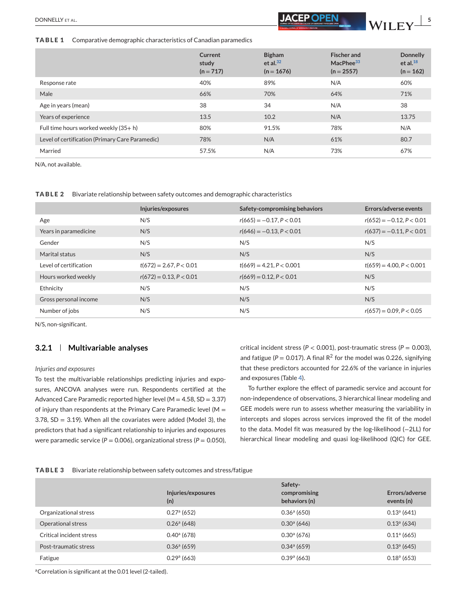<span id="page-4-0"></span>**TABLE 1** Comparative demographic characteristics of Canadian paramedics

|                                                 | Current<br>study<br>$(n = 717)$ | <b>Bigham</b><br>et al. $32$<br>$(n = 1676)$ | <b>Fischer and</b><br>MacPhee <sup>33</sup><br>$(n = 2557)$ | <b>Donnelly</b><br>et al. $^{18}$<br>$(n = 162)$ |
|-------------------------------------------------|---------------------------------|----------------------------------------------|-------------------------------------------------------------|--------------------------------------------------|
| Response rate                                   | 40%                             | 89%                                          | N/A                                                         | 60%                                              |
| Male                                            | 66%                             | 70%                                          | 64%                                                         | 71%                                              |
| Age in years (mean)                             | 38                              | 34                                           | N/A                                                         | 38                                               |
| Years of experience                             | 13.5                            | 10.2                                         | N/A                                                         | 13.75                                            |
| Full time hours worked weekly (35+h)            | 80%                             | 91.5%                                        | 78%                                                         | N/A                                              |
| Level of certification (Primary Care Paramedic) | 78%                             | N/A                                          | 61%                                                         | 80.7                                             |
| Married                                         | 57.5%                           | N/A                                          | 73%                                                         | 67%                                              |

N/A, not available.

**TABLE 2** Bivariate relationship between safety outcomes and demographic characteristics

|                        | Injuries/exposures        | Safety-compromising behaviors | Errors/adverse events      |
|------------------------|---------------------------|-------------------------------|----------------------------|
| Age                    | N/S                       | $r(665) = -0.17, P < 0.01$    | $r(652) = -0.12, P < 0.01$ |
| Years in paramedicine  | N/S                       | $r(646) = -0.13, P < 0.01$    | $r(637) = -0.11, P < 0.01$ |
| Gender                 | N/S                       | N/S                           | N/S                        |
| Marital status         | N/S                       | N/S                           | N/S                        |
| Level of certification | $t(672) = 2.67, P < 0.01$ | $t(669) = 4.21, P < 0.001$    | $t(659) = 4.00, P < 0.001$ |
| Hours worked weekly    | $r(672) = 0.13, P < 0.01$ | $r(669) = 0.12, P < 0.01$     | N/S                        |
| Ethnicity              | N/S                       | N/S                           | N/S                        |
| Gross personal income  | N/S                       | N/S                           | N/S                        |
| Number of jobs         | N/S                       | N/S                           | $r(657) = 0.09, P < 0.05$  |

N/S, non-significant.

## **3.2.1 Multivariable analyses**

#### *Injuries and exposures*

To test the multivariable relationships predicting injuries and exposures, ANCOVA analyses were run. Respondents certified at the Advanced Care Paramedic reported higher level ( $M = 4.58$ , SD = 3.37) of injury than respondents at the Primary Care Paramedic level ( $M =$ 3.78, SD = 3.19). When all the covariates were added (Model 3), the predictors that had a significant relationship to injuries and exposures were paramedic service (*P* = 0.006), organizational stress (*P* = 0.050), critical incident stress (*P* < 0.001), post-traumatic stress (*P* = 0.003), and fatigue ( $P = 0.017$ ). A final R<sup>2</sup> for the model was 0.226, signifying that these predictors accounted for 22.6% of the variance in injuries and exposures (Table [4\)](#page-5-0).

To further explore the effect of paramedic service and account for non-independence of observations, 3 hierarchical linear modeling and GEE models were run to assess whether measuring the variability in intercepts and slopes across services improved the fit of the model to the data. Model fit was measured by the log-likelihood (−2LL) for hierarchical linear modeling and quasi log-likelihood (QIC) for GEE.

|  | <b>TABLE 3</b> Bivariate relationship between safety outcomes and stress/fatigue |  |  |
|--|----------------------------------------------------------------------------------|--|--|
|--|----------------------------------------------------------------------------------|--|--|

|                          | Injuries/exposures<br>(n) | Safety-<br>compromising<br>behaviors (n) | Errors/adverse<br>events (n) |
|--------------------------|---------------------------|------------------------------------------|------------------------------|
| Organizational stress    | $0.27a$ (652)             | $0.36a$ (650)                            | $0.13a$ (641)                |
| Operational stress       | $0.26a$ (648)             | $0.30a$ (646)                            | $0.13a$ (634)                |
| Critical incident stress | $0.40^{\circ}$ (678)      | $0.30a$ (676)                            | 0.11 <sup>a</sup> (665)      |
| Post-traumatic stress    | $0.36a$ (659)             | $0.34a$ (659)                            | $0.13a$ (645)                |
| Fatigue                  | 0.29 <sup>a</sup> (663)   | 0.39 <sup>a</sup> (663)                  | $0.18a$ (653)                |

aCorrelation is significant at the 0.01 level (2-tailed).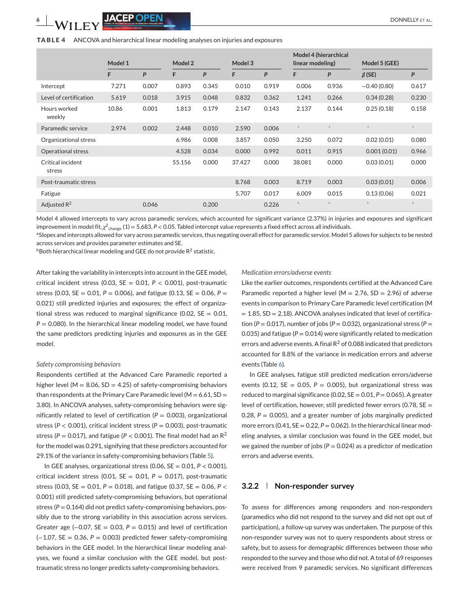#### <span id="page-5-0"></span>**TABLE 4** ANCOVA and hierarchical linear modeling analyses on injuries and exposures

|                             |         |       |         |       |         |       |                  | Model 4 (hierarchical |                |              |
|-----------------------------|---------|-------|---------|-------|---------|-------|------------------|-----------------------|----------------|--------------|
|                             | Model 1 |       | Model 2 |       | Model 3 |       | linear modeling) |                       | Model 5 (GEE)  |              |
|                             | F       | P     | F       | P     | F       | P     | F                | P                     | $\beta$ (SE)   | P            |
| Intercept                   | 7.271   | 0.007 | 0.893   | 0.345 | 0.010   | 0.919 | 0.006            | 0.936                 | $-0.40(0.80)$  | 0.617        |
| Level of certification      | 5.619   | 0.018 | 3.915   | 0.048 | 0.832   | 0.362 | 1.241            | 0.266                 | 0.34(0.28)     | 0.230        |
| Hours worked<br>weekly      | 10.86   | 0.001 | 1.813   | 0.179 | 2.147   | 0.143 | 2.137            | 0.144                 | 0.25(0.18)     | 0.158        |
| Paramedic service           | 2.974   | 0.002 | 2.448   | 0.010 | 2.590   | 0.006 | a                |                       | $\overline{a}$ | $\mathsf{a}$ |
| Organizational stress       |         |       | 6.986   | 0.008 | 3.857   | 0.050 | 3.250            | 0.072                 | 0.02(0.01)     | 0.080        |
| <b>Operational stress</b>   |         |       | 4.528   | 0.034 | 0.000   | 0.992 | 0.011            | 0.915                 | 0.001(0.01)    | 0.966        |
| Critical incident<br>stress |         |       | 55.156  | 0.000 | 37.427  | 0.000 | 38.081           | 0.000                 | 0.03(0.01)     | 0.000        |
| Post-traumatic stress       |         |       |         |       | 8.768   | 0.003 | 8.719            | 0.003                 | 0.03(0.01)     | 0.006        |
| Fatigue                     |         |       |         |       | 5.707   | 0.017 | 6.009            | 0.015                 | 0.13(0.06)     | 0.021        |
| Adjusted $R^2$              |         | 0.046 |         | 0.200 |         | 0.226 | $\mathbf b$      | $\mathbf b$           | $\mathbf b$    | $\mathbf b$  |

Model 4 allowed intercepts to vary across paramedic services, which accounted for significant variance (2.37%) in injuries and exposures and significant improvement in model fit, $\chi^2$ <sub>change</sub> (1) = 5.683, P < 0.05. Tabled intercept value represents a fixed effect across all individuals.

aSlopes and intercepts allowed for vary across paramedic services, thus negating overall effect for paramedic service. Model 5 allows for subjects to be nested across services and provides parameter estimates and SE.

 $b$ Both hierarchical linear modeling and GEE do not provide  $R^2$  statistic.

After taking the variability in intercepts into account in the GEE model, critical incident stress (0.03,  $SE = 0.01$ ,  $P < 0.001$ ), post-traumatic stress (0.03,  $SE = 0.01$ ,  $P = 0.006$ ), and fatigue (0.13,  $SE = 0.06$ ,  $P =$ 0.021) still predicted injuries and exposures; the effect of organizational stress was reduced to marginal significance (0.02,  $SE = 0.01$ , *P* = 0.080). In the hierarchical linear modeling model, we have found the same predictors predicting injuries and exposures as in the GEE model.

#### *Safety compromising behaviors*

Respondents certified at the Advanced Care Paramedic reported a higher level ( $M = 8.06$ , SD = 4.25) of safety-compromising behaviors than respondents at the Primary Care Paramedic level ( $M = 6.61$ , SD = 3.80). In ANCOVA analyses, safety-compromising behaviors were significantly related to level of certification ( $P = 0.003$ ), organizational stress (*P* < 0.001), critical incident stress (*P* = 0.003), post-traumatic stress ( $P = 0.017$ ), and fatigue ( $P < 0.001$ ). The final model had an  $R^2$ for the model was 0.291, signifying that these predictors accounted for 29.1% of the variance in safety-compromising behaviors (Table [5\)](#page-6-0).

In GEE analyses, organizational stress  $(0.06, SE = 0.01, P < 0.001)$ , critical incident stress (0.01,  $SE = 0.01$ ,  $P = 0.017$ ), post-traumatic stress (0.03, SE = 0.01, *P* = 0.018), and fatigue (0.37, SE = 0.06, *P* < 0.001) still predicted safety-compromising behaviors, but operational stress ( $P = 0.164$ ) did not predict safety-compromising behaviors, possibly due to the strong variability in this association across services. Greater age (−0.07, SE = 0.03, *P* = 0.015) and level of certification  $(-1.07, SE = 0.36, P = 0.003)$  predicted fewer safety-compromising behaviors in the GEE model. In the hierarchical linear modeling analyses, we found a similar conclusion with the GEE model, but posttraumatic stress no longer predicts safety-compromising behaviors.

#### *Medication errors/adverse events*

Like the earlier outcomes, respondents certified at the Advanced Care Paramedic reported a higher level ( $M = 2.76$ , SD = 2.96) of adverse events in comparison to Primary Care Paramedic level certification (M  $= 1.85$ , SD = 2.18). ANCOVA analyses indicated that level of certification ( $P = 0.017$ ), number of jobs ( $P = 0.032$ ), organizational stress ( $P =$ 0.035) and fatigue ( $P = 0.014$ ) were significantly related to medication errors and adverse events. A final  $R^2$  of 0.088 indicated that predictors accounted for 8.8% of the variance in medication errors and adverse events (Table [6\)](#page-6-0).

In GEE analyses, fatigue still predicted medication errors/adverse events (0.12,  $SE = 0.05$ ,  $P = 0.005$ ), but organizational stress was reduced to marginal significance (0.02,  $SE = 0.01$ ,  $P = 0.065$ ). A greater level of certification, however, still predicted fewer errors (0.78, SE = 0.28,  $P = 0.005$ ), and a greater number of jobs marginally predicted more errors (0.41,  $SE = 0.22$ ,  $P = 0.062$ ). In the hierarchical linear modeling analyses, a similar conclusion was found in the GEE model, but we gained the number of jobs ( $P = 0.024$ ) as a predictor of medication errors and adverse events.

#### **3.2.2 Non-responder survey**

To assess for differences among responders and non-responders (paramedics who did not respond to the survey and did not opt out of participation), a follow-up survey was undertaken. The purpose of this non-responder survey was not to query respondents about stress or safety, but to assess for demographic differences between those who responded to the survey and those who did not. A total of 69 responses were received from 9 paramedic services. No significant differences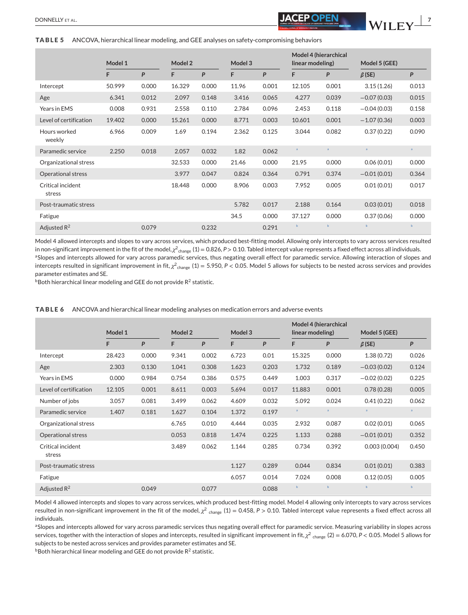#### <span id="page-6-0"></span>**TABLE 5** ANCOVA, hierarchical linear modeling, and GEE analyses on safety-compromising behaviors

|                             |         |       |         |       |         |       | Model 4 (hierarchical |                  |                |              |
|-----------------------------|---------|-------|---------|-------|---------|-------|-----------------------|------------------|----------------|--------------|
|                             | Model 1 |       | Model 2 |       | Model 3 |       |                       | linear modeling) | Model 5 (GEE)  |              |
|                             | F       | P     | F       | P     | F       | P     | F                     | P                | $\beta$ (SE)   | P            |
| Intercept                   | 50.999  | 0.000 | 16.329  | 0.000 | 11.96   | 0.001 | 12.105                | 0.001            | 3.15(1.26)     | 0.013        |
| Age                         | 6.341   | 0.012 | 2.097   | 0.148 | 3.416   | 0.065 | 4.277                 | 0.039            | $-0.07(0.03)$  | 0.015        |
| Years in EMS                | 0.008   | 0.931 | 2.558   | 0.110 | 2.784   | 0.096 | 2.453                 | 0.118            | $-0.04(0.03)$  | 0.158        |
| Level of certification      | 19.402  | 0.000 | 15.261  | 0.000 | 8.771   | 0.003 | 10.601                | 0.001            | $-1.07(0.36)$  | 0.003        |
| Hours worked<br>weekly      | 6.966   | 0.009 | 1.69    | 0.194 | 2.362   | 0.125 | 3.044                 | 0.082            | 0.37(0.22)     | 0.090        |
| Paramedic service           | 2.250   | 0.018 | 2.057   | 0.032 | 1.82    | 0.062 | $\overline{a}$        | $\mathsf{a}$     | $\overline{a}$ | $\mathsf{a}$ |
| Organizational stress       |         |       | 32.533  | 0.000 | 21.46   | 0.000 | 21.95                 | 0.000            | 0.06(0.01)     | 0.000        |
| Operational stress          |         |       | 3.977   | 0.047 | 0.824   | 0.364 | 0.791                 | 0.374            | $-0.01(0.01)$  | 0.364        |
| Critical incident<br>stress |         |       | 18.448  | 0.000 | 8.906   | 0.003 | 7.952                 | 0.005            | 0.01(0.01)     | 0.017        |
| Post-traumatic stress       |         |       |         |       | 5.782   | 0.017 | 2.188                 | 0.164            | 0.03(0.01)     | 0.018        |
| Fatigue                     |         |       |         |       | 34.5    | 0.000 | 37.127                | 0.000            | 0.37(0.06)     | 0.000        |
| Adjusted $R^2$              |         | 0.079 |         | 0.232 |         | 0.291 | $\mathbf b$           | $\mathbf b$      | $\mathbf b$    | $\mathbf b$  |

Model 4 allowed intercepts and slopes to vary across services, which produced best-fitting model. Allowing only intercepts to vary across services resulted in non-significant improvement in the fit of the model, $\chi^2$ <sub>change</sub> (1) = 0.826, *P* > 0.10. Tabled intercept value represents a fixed effect across all individuals. aSlopes and intercepts allowed for vary across paramedic services, thus negating overall effect for paramedic service. Allowing interaction of slopes and intercepts resulted in significant improvement in fit,  $\chi^2$ <sub>change</sub> (1) = 5.950, *P* < 0.05. Model 5 allows for subjects to be nested across services and provides parameter estimates and SE.

 $b$ Both hierarchical linear modeling and GEE do not provide  $R^2$  statistic.

|                             | Model 1 |       | Model 2 |       | Model 3 |       | linear modeling) | Model 4 (hierarchical | Model 5 (GEE) |              |
|-----------------------------|---------|-------|---------|-------|---------|-------|------------------|-----------------------|---------------|--------------|
|                             | F       | P     | F       | P     | F       | P     | F                | P                     | $\beta$ (SE)  | P            |
| Intercept                   | 28.423  | 0.000 | 9.341   | 0.002 | 6.723   | 0.01  | 15.325           | 0.000                 | 1.38(0.72)    | 0.026        |
| Age                         | 2.303   | 0.130 | 1.041   | 0.308 | 1.623   | 0.203 | 1.732            | 0.189                 | $-0.03(0.02)$ | 0.124        |
| Years in EMS                | 0.000   | 0.984 | 0.754   | 0.386 | 0.575   | 0.449 | 1.003            | 0.317                 | $-0.02(0.02)$ | 0.225        |
| Level of certification      | 12.105  | 0.001 | 8.611   | 0.003 | 5.694   | 0.017 | 11.883           | 0.001                 | 0.78(0.28)    | 0.005        |
| Number of jobs              | 3.057   | 0.081 | 3.499   | 0.062 | 4.609   | 0.032 | 5.092            | 0.024                 | 0.41(0.22)    | 0.062        |
| Paramedic service           | 1.407   | 0.181 | 1.627   | 0.104 | 1.372   | 0.197 | $\overline{a}$   | $\alpha$              | a             | $\mathbf{a}$ |
| Organizational stress       |         |       | 6.765   | 0.010 | 4.444   | 0.035 | 2.932            | 0.087                 | 0.02(0.01)    | 0.065        |
| Operational stress          |         |       | 0.053   | 0.818 | 1.474   | 0.225 | 1.133            | 0.288                 | $-0.01(0.01)$ | 0.352        |
| Critical incident<br>stress |         |       | 3.489   | 0.062 | 1.144   | 0.285 | 0.734            | 0.392                 | 0.003(0.004)  | 0.450        |
| Post-traumatic stress       |         |       |         |       | 1.127   | 0.289 | 0.044            | 0.834                 | 0.01(0.01)    | 0.383        |
| Fatigue                     |         |       |         |       | 6.057   | 0.014 | 7.024            | 0.008                 | 0.12(0.05)    | 0.005        |
| Adjusted $R^2$              |         | 0.049 |         | 0.077 |         | 0.088 | $\mathbf b$      | $\mathbf b$           | b             | $\mathbf b$  |

**TABLE 6** ANCOVA and hierarchical linear modeling analyses on medication errors and adverse events

Model 4 allowed intercepts and slopes to vary across services, which produced best-fitting model. Model 4 allowing only intercepts to vary across services resulted in non-significant improvement in the fit of the model,  $\chi^2$  change (1) = 0.458,  $P > 0.10$ . Tabled intercept value represents a fixed effect across all individuals.

aSlopes and intercepts allowed for vary across paramedic services thus negating overall effect for paramedic service. Measuring variability in slopes across services, together with the interaction of slopes and intercepts, resulted in significant improvement in fit,  $\chi^2$ <sub>change</sub> (2) = 6.070, *P* < 0.05. Model 5 allows for subjects to be nested across services and provides parameter estimates and SE.

 $b$ Both hierarchical linear modeling and GEE do not provide  $R^2$  statistic.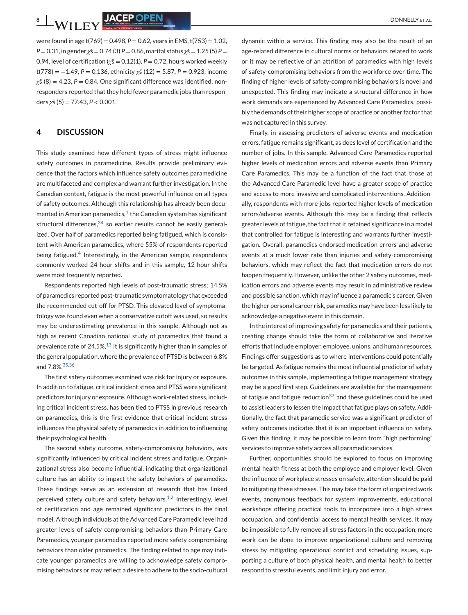were found in age t(769) = 0.498, *P* = 0.62, years in EMS, t(753) = 1.02, *P* = 0.31, in gender *χ*š = 0.74 (3) *P* = 0.86, marital status *χ*š = 1.25 (5) *P* = 0.94, level of certification ( $\chi$ š = 0.12(1),  $P = 0.72$ , hours worked weekly t(778) = −1.49, *P* = 0.136, ethnicity *χ*š (12) = 5.87, *P* = 0.923, income *χ*š (8) = 4.23, *P* = 0.84. One significant difference was identified; nonresponders reported that they held fewer paramedic jobs than responders *χ*š (5) = 77.43, *P* < 0.001.

## **4 DISCUSSION**

This study examined how different types of stress might influence safety outcomes in paramedicine. Results provide preliminary evidence that the factors which influence safety outcomes paramedicine are multifaceted and complex and warrant further investigation. In the Canadian context, fatigue is the most powerful influence on all types of safety outcomes. Although this relationship has already been documented in American paramedics, $4$  the Canadian system has significant structural differences, $34$  so earlier results cannot be easily generalized. Over half of paramedics reported being fatigued, which is consistent with American paramedics, where 55% of respondents reported being fatigued.<sup>4</sup> Interestingly, in the American sample, respondents commonly worked 24-hour shifts and in this sample, 12-hour shifts were most frequently reported.

Respondents reported high levels of post-traumatic stress; 14.5% of paramedics reported post-traumatic symptomatology that exceeded the recommended cut-off for PTSD. This elevated level of symptomatology was found even when a conservative cutoff was used, so results may be underestimating prevalence in this sample. Although not as high as recent Canadian national study of paramedics that found a prevalence rate of 24.5%, $^{13}$  it is significantly higher than in samples of the general population, where the prevalence of PTSD is between 6.8% and 7.8%.35,36

The first safety outcomes examined was risk for injury or exposure. In addition to fatigue, critical incident stress and PTSS were significant predictors for injury or exposure. Although work-related stress, including critical incident stress, has been tied to PTSS in previous research on paramedics, this is the first evidence that critical incident stress influences the physical safety of paramedics in addition to influencing their psychological health.

The second safety outcome, safety-compromising behaviors, was significantly influenced by critical incident stress and fatigue. Organizational stress also become influential, indicating that organizational culture has an ability to impact the safety behaviors of paramedics. These findings serve as an extension of research that has linked perceived safety culture and safety behaviors. $1,2$  Interestingly, level of certification and age remained significant predictors in the final model. Although individuals at the Advanced Care Paramedic level had greater levels of safety compromising behaviors than Primary Care Paramedics, younger paramedics reported more safety compromising behaviors than older paramedics. The finding related to age may indicate younger paramedics are willing to acknowledge safety compromising behaviors or may reflect a desire to adhere to the socio-cultural

dynamic within a service. This finding may also be the result of an age-related difference in cultural norms or behaviors related to work or it may be reflective of an attrition of paramedics with high levels of safety-compromising behaviors from the workforce over time. The finding of higher levels of safety-compromising behaviors is novel and unexpected. This finding may indicate a structural difference in how work demands are experienced by Advanced Care Paramedics, possibly the demands of their higher scope of practice or another factor that was not captured in this survey.

Finally, in assessing predictors of adverse events and medication errors, fatigue remains significant, as does level of certification and the number of jobs. In this sample, Advanced Care Paramedics reported higher levels of medication errors and adverse events than Primary Care Paramedics. This may be a function of the fact that those at the Advanced Care Paramedic level have a greater scope of practice and access to more invasive and complicated interventions. Additionally, respondents with more jobs reported higher levels of medication errors/adverse events. Although this may be a finding that reflects greater levels of fatigue, the fact that it retained significance in a model that controlled for fatigue is interesting and warrants further investigation. Overall, paramedics endorsed medication errors and adverse events at a much lower rate than injuries and safety-compromising behaviors, which may reflect the fact that medication errors do not happen frequently. However, unlike the other 2 safety outcomes, medication errors and adverse events may result in administrative review and possible sanction, which may influence a paramedic's career. Given the higher personal career risk, paramedics may have been less likely to acknowledge a negative event in this domain.

In the interest of improving safety for paramedics and their patients, creating change should take the form of collaborative and iterative efforts that include employer, employee, unions, and human resources. Findings offer suggestions as to where interventions could potentially be targeted. As fatigue remains the most influential predictor of safety outcomes in this sample, implementing a fatigue management strategy may be a good first step. Guidelines are available for the management of fatigue and fatigue reduction $37$  and these guidelines could be used to assist leaders to lessen the impact that fatigue plays on safety. Additionally, the fact that paramedic service was a significant predictor of safety outcomes indicates that it is an important influence on safety. Given this finding, it may be possible to learn from "high performing" services to improve safety across all paramedic services.

Further, opportunities should be explored to focus on improving mental health fitness at both the employee and employer level. Given the influence of workplace stresses on safety, attention should be paid to mitigating these stresses. This may take the form of organized work events, anonymous feedback for system improvements, educational workshops offering practical tools to incorporate into a high stress occupation, and confidential access to mental health services. It may be impossible to fully remove all stress factors in the occupation; more work can be done to improve organizational culture and removing stress by mitigating operational conflict and scheduling issues, supporting a culture of both physical health, and mental health to better respond to stressful events, and limit injury and error.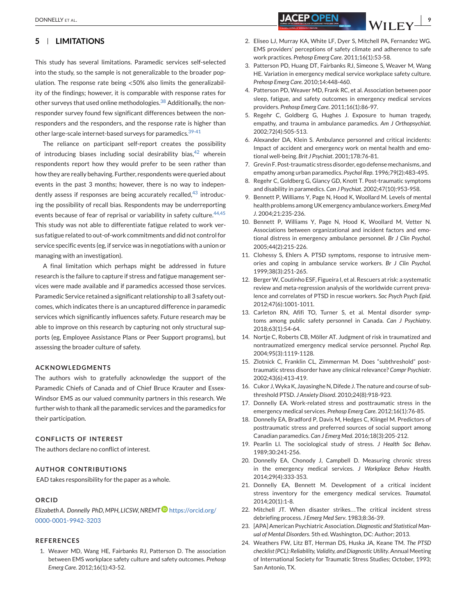## **5 LIMITATIONS**

This study has several limitations. Paramedic services self-selected into the study, so the sample is not generalizable to the broader population. The response rate being <50% also limits the generalizability of the findings; however, it is comparable with response rates for other surveys that used online methodologies.<sup>38</sup> Additionally, the nonresponder survey found few significant differences between the nonresponders and the responders, and the response rate is higher than other large-scale internet-based surveys for paramedics. 39-41

The reliance on participant self-report creates the possibility of introducing biases including social desirability bias, $42$  wherein respondents report how they would prefer to be seen rather than how they are really behaving. Further, respondents were queried about events in the past 3 months; however, there is no way to independently assess if responses are being accurately recalled, $43$  introducing the possibility of recall bias. Respondents may be underreporting events because of fear of reprisal or variability in safety culture. 44,45 This study was not able to differentiate fatigue related to work versus fatigue related to out-of-work commitments and did not control for service specific events (eg, if service was in negotiations with a union or managing with an investigation).

A final limitation which perhaps might be addressed in future research is the failure to capture if stress and fatigue management services were made available and if paramedics accessed those services. Paramedic Service retained a significant relationship to all 3 safety outcomes, which indicates there is an uncaptured difference in paramedic services which significantly influences safety. Future research may be able to improve on this research by capturing not only structural supports (eg, Employee Assistance Plans or Peer Support programs), but assessing the broader culture of safety.

#### **ACKNOWLEDGMENTS**

The authors wish to gratefully acknowledge the support of the Paramedic Chiefs of Canada and of Chief Bruce Krauter and Essex-Windsor EMS as our valued community partners in this research. We further wish to thank all the paramedic services and the paramedics for their participation.

#### **CONFLICTS OF INTEREST**

The authors declare no conflict of interest.

#### **AUTHOR CONTRIBUTIONS**

EAD takes responsibility for the paper as a whole.

## **ORCID**

*Elizabeth A. Donnelly PhD, MPH, LICSW, NREM[T](https://orcid.org/0000-0001-9942-3203)* [https://orcid.org/](https://orcid.org/0000-0001-9942-3203) [0000-0001-9942-3203](https://orcid.org/0000-0001-9942-3203)

#### **REFERENCES**

1. Weaver MD, Wang HE, Fairbanks RJ, Patterson D. The association between EMS workplace safety culture and safety outcomes. *Prehosp Emerg Care*. 2012;16(1):43-52.

- DONNELLY ET AL. **9**<br>DONNELLY ET AL. **9** 
	- 2. Eliseo LJ, Murray KA, White LF, Dyer S, Mitchell PA, Fernandez WG. EMS providers' perceptions of safety climate and adherence to safe work practices. *Prehosp Emerg Care*. 2011;16(1):53-58.
	- 3. Patterson PD, Huang DT, Fairbanks RJ, Simeone S, Weaver M, Wang HE. Variation in emergency medical service workplace safety culture. *Prehosp Emerg Care*. 2010;14:448-460.
	- 4. Patterson PD, Weaver MD, Frank RC, et al. Association between poor sleep, fatigue, and safety outcomes in emergency medical services providers. *Prehosp Emerg Care*. 2011;16(1):86-97.
	- 5. Regehr C, Goldberg G, Hughes J. Exposure to human tragedy, empathy, and trauma in ambulance paramedics. *Am J Orthopsychiat*. 2002;72(4):505-513.
	- 6. Alexander DA, Klein S. Ambulance personnel and critical incidents: Impact of accident and emergency work on mental health and emotional well-being. *Brit J Psychiat*. 2001;178:76-81.
	- 7. Grevin F. Post-traumatic stress disorder, ego defense mechanisms, and empathy among urban paramedics. *Psychol Rep*. 1996;79(2):483-495.
	- 8. Regehr C, Goldberg G, Glancy GD, Knott T. Post-traumatic symptoms and disability in paramedics. *Can J Psychiat*. 2002;47(10):953-958.
	- 9. Bennett P, Williams Y, Page N, Hood K, Woollard M. Levels of mental health problems among UK emergency ambulance workers. *Emerg Med J*. 2004;21:235-236.
	- 10. Bennett P, Williams Y, Page N, Hood K, Woollard M, Vetter N. Associations between organizational and incident factors and emotional distress in emergency ambulance personnel. *Br J Clin Psychol*. 2005;44(2):215-226.
	- 11. Clohessy S, Ehlers A. PTSD symptoms, response to intrusive memories and coping in ambulance service workers. *Br J Clin Psychol*. 1999;38(3):251-265.
	- 12. Berger W, Coutinho ESF, Figueira I, et al. Rescuers at risk: a systematic review and meta-regression analysis of the worldwide current prevalence and correlates of PTSD in rescue workers. *Soc Psych Psych Epid*. 2012;47(6):1001-1011.
	- 13. Carleton RN, Afifi TO, Turner S, et al. Mental disorder symptoms among public safety personnel in Canada. *Can J Psychiatry*. 2018;63(1):54-64.
	- 14. Nortje C, Roberts CB, Möller AT. Judgment of risk in traumatized and nontraumatized emergency medical service personnel. *Psychol Rep*. 2004;95(3):1119-1128.
	- 15. Zlotnick C, Franklin CL, Zimmerman M. Does "subthreshold" posttraumatic stress disorder have any clinical relevance? *Compr Psychiatr*. 2002;43(6):413-419.
	- 16. Cukor J,Wyka K, Jayasinghe N, Difede J. The nature and course of subthreshold PTSD. *J Anxiety Disord*. 2010;24(8):918-923.
	- 17. Donnelly EA. Work-related stress and posttraumatic stress in the emergency medical services. *Prehosp Emerg Care*. 2012;16(1):76-85.
	- 18. Donnelly EA, Bradford P, Davis M, Hedges C, Klingel M. Predictors of posttraumatic stress and preferred sources of social support among Canadian paramedics. *Can J Emerg Med*. 2016;18(3):205-212.
	- 19. Pearlin LI. The sociological study of stress. *J Health Soc Behav*. 1989;30:241-256.
	- 20. Donnelly EA, Chonody J, Campbell D. Measuring chronic stress in the emergency medical services. *J Workplace Behav Health*. 2014;29(4):333-353.
	- 21. Donnelly EA, Bennett M. Development of a critical incident stress inventory for the emergency medical services. *Traumatol*. 2014;20(1):1-8.
	- 22. Mitchell JT. When disaster strikes...The critical incident stress debriefing process. *J Emerg Med Serv*. 1983;8:36-39.
	- 23. [APA] American Psychiatric Association. *Diagnostic and Statistical Manual of Mental Disorders*. 5th ed. Washington, DC: Author; 2013.
	- 24. Weathers FW, Litz BT, Herman DS, Huska JA, Keane TM. *The PTSD checklist (PCL): Reliability, Validity, and Diagnostic Utility*. Annual Meeting of International Society for Traumatic Stress Studies; October, 1993; San Antonio, TX.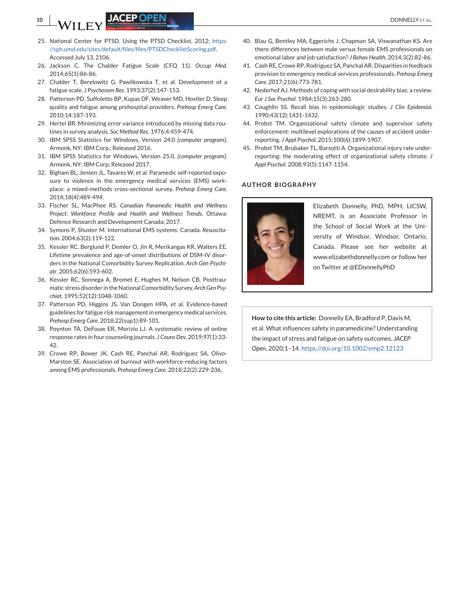**10 If the set of the set of the set of the set of the set of the set of the set of the set of the set of the set of the set of the set of the set of the set of the set of the set of the set of the set of the set of the** 

- 25. National Center for PTSD. Using the PTSD Checklist. 2012; [https:](https://sph.umd.edu/sites/default/files/files/PTSDChecklistScoring.pdf) [//sph.umd.edu/sites/default/files/files/PTSDChecklistScoring.pdf.](https://sph.umd.edu/sites/default/files/files/PTSDChecklistScoring.pdf) Accessed July 13, 2106.
- 26. Jackson C. The Chalder Fatigue Scale (CFQ 11). *Occup Med*. 2014;65(1):86-86.
- 27. Chalder T, Berelowitz G, Pawlikowska T, et al. Development of a fatigue scale. *J Psychosom Res*. 1993;37(2):147-153.
- 28. Patterson PD, Suffoletto BP, Kupas DF, Weaver MD, Hostler D. Sleep quality and fatigue among prehospital providers. *Prehosp Emerg Care*. 2010;14:187-193.
- 29. Hertel BR. Minimizing error variance introduced by missing data routines in survey analysis. *Soc Method Res*. 1976;4:459-474.
- 30. IBM SPSS Statistics for Windows, Version 24.0 *[computer program]*. Armonk, NY: IBM Corp.; Released 2016.
- 31. IBM SPSS Statistics for Windows, Version 25.0*, [computer program]*. Armonk, NY: IBM Corp; Released 2017.
- 32. Bigham BL, Jensen JL, Tavares W, et al. Paramedic self-reported exposure to violence in the emergency medical services (EMS) workplace: a mixed-methods cross-sectional survey. *Prehosp Emerg Care*. 2014;18(4):489-494.
- 33. Fischer SL, MacPhee RS. *Canadian Paramedic Health and Wellness Project: Workforce Profile and Health and Wellness Trends*. Ottawa: Defence Research and Development Canada; 2017.
- 34. Symons P, Shuster M. International EMS systems: Canada. *Resuscitation*. 2004;63(2):119-122.
- 35. Kessler RC, Berglund P, Demler O, Jin R, Merikangas KR, Walters EE. Lifetime prevalence and age-of-onset distributions of DSM-IV disorders in the National Comorbidity Survey Replication. *Arch Gen Psychiatr*. 2005;62(6):593-602.
- 36. Kessler RC, Sonnega A, Bromet E, Hughes M, Nelson CB. Posttraumatic stress disorder in the National Comorbidity Survey.*Arch Gen Psychiat*. 1995;52(12):1048-1060.
- 37. Patterson PD, Higgins JS, Van Dongen HPA, et al. Evidence-based guidelines for fatigue risk management in emergency medical services. *Prehosp Emerg Care*. 2018;22(sup1):89-101.
- 38. Poynton TA, DeFouw ER, Morizio LJ. A systematic review of online response rates in four counseling journals. *J Couns Dev*. 2019;97(1):33- 42.
- 39. Crowe RP, Bower JK, Cash RE, Panchal AR, Rodriguez SA, Olivo-Marston SE. Association of burnout with workforce-reducing factors among EMS professionals. *Prehosp Emerg Care*. 2018;22(2):229-236.
- 40. Blau G, Bentley MA, Eggerichs J, Chapman SA, Viswanathan KS. Are there differences between male versus female EMS professionals on emotional labor and job satisfaction? *J Behav Health*. 2014;3(2):82-86.
- 41. Cash RE, Crowe RP, Rodriguez SA, Panchal AR. Disparities in feedback provision to emergency medical services professionals. *Prehosp Emerg Care*. 2017;21(6):773-781.
- 42. Nederhof AJ. Methods of coping with social desirability bias: a review. *Eur J Soc Psychol*. 1984;15(3):263-280.
- 43. Coughlin SS. Recall bias in epidemiologic studies. *J Clin Epidemiol*. 1990;43(12):1431-1432.
- 44. Probst TM. Organizational safety climate and supervisor safety enforcement: multilevel explorations of the causes of accident underreporting. *J Appl Psychol*. 2015;100(6):1899-1907.
- 45. Probst TM, Brubaker TL, Barsotti A. Organizational injury rate underreporting: the moderating effect of organizational safety climate. *J Appl Psychol*. 2008;93(5):1147-1154.

#### **AUTHOR BIOGRAPHY**



Elizabeth Donnelly, PhD, MPH, LICSW, NREMT, is an Associate Professor in the School of Social Work at the University of Windsor, Windsor, Ontario, Canada. Please see her website at www.elizabethdonnelly.com or follow her on Twitter at @EDonnellyPhD

**How to cite this article:** Donnelly EA, Bradford P, Davis M, et al. What influences safety in paramedicine? Understanding the impact of stress and fatigue on safety outcomes. *JACEP Open*. 2020;1–14. <https://doi.org/10.1002/emp2.12123>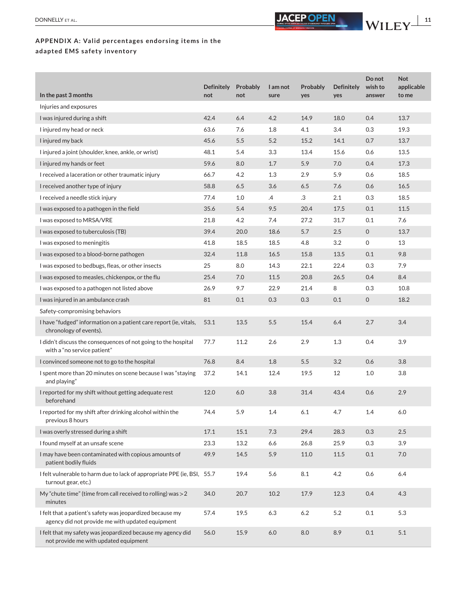

# **APPENDIX A: Valid percentages endorsing items in the adapted EMS safety inventory**

| In the past 3 months                                                                                          | <b>Definitely</b><br>not | Probably<br>not | I am not<br>sure | Probably<br>yes | <b>Definitely</b><br>yes | Do not<br>wish to<br>answer | <b>Not</b><br>applicable<br>to me |
|---------------------------------------------------------------------------------------------------------------|--------------------------|-----------------|------------------|-----------------|--------------------------|-----------------------------|-----------------------------------|
| Injuries and exposures                                                                                        |                          |                 |                  |                 |                          |                             |                                   |
| I was injured during a shift                                                                                  | 42.4                     | 6.4             | 4.2              | 14.9            | 18.0                     | 0.4                         | 13.7                              |
| I injured my head or neck                                                                                     | 63.6                     | 7.6             | 1.8              | 4.1             | 3.4                      | 0.3                         | 19.3                              |
| I injured my back                                                                                             | 45.6                     | 5.5             | 5.2              | 15.2            | 14.1                     | 0.7                         | 13.7                              |
| I injured a joint (shoulder, knee, ankle, or wrist)                                                           | 48.1                     | 5.4             | 3.3              | 13.4            | 15.6                     | 0.6                         | 13.5                              |
| I injured my hands or feet                                                                                    | 59.6                     | 8.0             | 1.7              | 5.9             | 7.0                      | 0.4                         | 17.3                              |
| I received a laceration or other traumatic injury                                                             | 66.7                     | 4.2             | 1.3              | 2.9             | 5.9                      | 0.6                         | 18.5                              |
| I received another type of injury                                                                             | 58.8                     | 6.5             | 3.6              | 6.5             | 7.6                      | 0.6                         | 16.5                              |
| I received a needle stick injury                                                                              | 77.4                     | 1.0             | .4               | .3              | 2.1                      | 0.3                         | 18.5                              |
| I was exposed to a pathogen in the field                                                                      | 35.6                     | 5.4             | 9.5              | 20.4            | 17.5                     | 0.1                         | 11.5                              |
| I was exposed to MRSA/VRE                                                                                     | 21.8                     | 4.2             | 7.4              | 27.2            | 31.7                     | 0.1                         | 7.6                               |
| I was exposed to tuberculosis (TB)                                                                            | 39.4                     | 20.0            | 18.6             | 5.7             | 2.5                      | $\overline{0}$              | 13.7                              |
| I was exposed to meningitis                                                                                   | 41.8                     | 18.5            | 18.5             | 4.8             | 3.2                      | 0                           | 13                                |
| I was exposed to a blood-borne pathogen                                                                       | 32.4                     | 11.8            | 16.5             | 15.8            | 13.5                     | 0.1                         | 9.8                               |
| I was exposed to bedbugs, fleas, or other insects                                                             | 25                       | 8.0             | 14.3             | 22.1            | 22.4                     | 0.3                         | 7.9                               |
| I was exposed to measles, chickenpox, or the flu                                                              | 25.4                     | 7.0             | 11.5             | 20.8            | 26.5                     | 0.4                         | 8.4                               |
| I was exposed to a pathogen not listed above                                                                  | 26.9                     | 9.7             | 22.9             | 21.4            | 8                        | 0.3                         | 10.8                              |
| I was injured in an ambulance crash                                                                           | 81                       | 0.1             | 0.3              | 0.3             | 0.1                      | $\overline{0}$              | 18.2                              |
| Safety-compromising behaviors                                                                                 |                          |                 |                  |                 |                          |                             |                                   |
| I have "fudged" information on a patient care report (ie, vitals,<br>chronology of events).                   | 53.1                     | 13.5            | 5.5              | 15.4            | 6.4                      | 2.7                         | 3.4                               |
| I didn't discuss the consequences of not going to the hospital<br>with a "no service patient"                 | 77.7                     | 11.2            | 2.6              | 2.9             | 1.3                      | 0.4                         | 3.9                               |
| I convinced someone not to go to the hospital                                                                 | 76.8                     | 8.4             | 1.8              | 5.5             | 3.2                      | 0.6                         | 3.8                               |
| I spent more than 20 minutes on scene because I was "staying<br>and playing"                                  | 37.2                     | 14.1            | 12.4             | 19.5            | 12                       | 1.0                         | 3.8                               |
| I reported for my shift without getting adequate rest<br>beforehand                                           | 12.0                     | 6.0             | 3.8              | 31.4            | 43.4                     | 0.6                         | 2.9                               |
| I reported for my shift after drinking alcohol within the<br>previous 8 hours                                 | 74.4                     | 5.9             | 1.4              | 6.1             | 4.7                      | 1.4                         | 6.0                               |
| I was overly stressed during a shift                                                                          | 17.1                     | 15.1            | $7.3$            | 29.4            | 28.3                     | 0.3                         | $2.5\,$                           |
| I found myself at an unsafe scene                                                                             | 23.3                     | 13.2            | 6.6              | 26.8            | 25.9                     | 0.3                         | 3.9                               |
| I may have been contaminated with copious amounts of<br>patient bodily fluids                                 | 49.9                     | 14.5            | 5.9              | 11.0            | 11.5                     | 0.1                         | 7.0                               |
| I felt vulnerable to harm due to lack of appropriate PPE (ie, BSI, 55.7<br>turnout gear, etc.)                |                          | 19.4            | 5.6              | 8.1             | 4.2                      | 0.6                         | 6.4                               |
| My "chute time" (time from call received to rolling) was >2<br>minutes                                        | 34.0                     | 20.7            | 10.2             | 17.9            | 12.3                     | 0.4                         | 4.3                               |
| I felt that a patient's safety was jeopardized because my<br>agency did not provide me with updated equipment | 57.4                     | 19.5            | 6.3              | $6.2\,$         | 5.2                      | 0.1                         | 5.3                               |
| I felt that my safety was jeopardized because my agency did<br>not provide me with updated equipment          | 56.0                     | 15.9            | 6.0              | 8.0             | 8.9                      | 0.1                         | 5.1                               |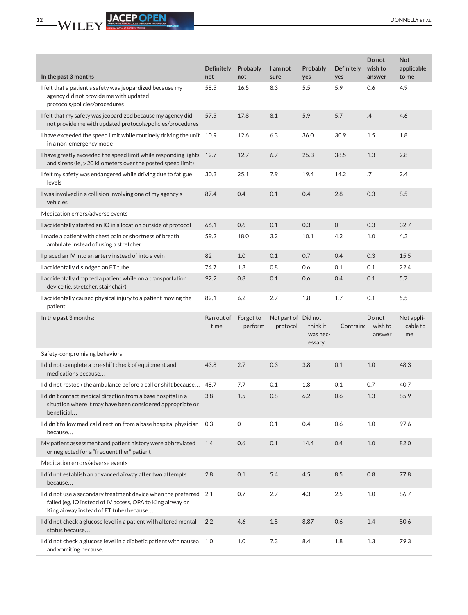**Not applicable to me**

Not applicable to me

2.2 4.6 1.8 8.87 0.6 1.4 80.6

1.0 1.0 7.3 8.4 1.8 1.3 79.3

| 12                                                                                                                                       |                          |                      |                                 |                                |                          |                             | <b>DONNE</b>                  |
|------------------------------------------------------------------------------------------------------------------------------------------|--------------------------|----------------------|---------------------------------|--------------------------------|--------------------------|-----------------------------|-------------------------------|
|                                                                                                                                          |                          |                      |                                 |                                |                          |                             |                               |
| In the past 3 months                                                                                                                     | <b>Definitely</b><br>not | Probably<br>not      | I am not<br>sure                | Probably<br>yes                | <b>Definitely</b><br>yes | Do not<br>wish to<br>answer | <b>Not</b><br>appl<br>to m    |
| I felt that a patient's safety was jeopardized because my<br>agency did not provide me with updated<br>protocols/policies/procedures     | 58.5                     | 16.5                 | 8.3                             | 5.5                            | 5.9                      | 0.6                         | 4.9                           |
| I felt that my safety was jeopardized because my agency did<br>not provide me with updated protocols/policies/procedures                 | 57.5                     | 17.8                 | 8.1                             | 5.9                            | 5.7                      | .4                          | 4.6                           |
| I have exceeded the speed limit while routinely driving the unit 10.9<br>in a non-emergency mode                                         |                          | 12.6                 | 6.3                             | 36.0                           | 30.9                     | 1.5                         | 1.8                           |
| I have greatly exceeded the speed limit while responding lights 12.7<br>and sirens (ie, >20 kilometers over the posted speed limit)      |                          | 12.7                 | 6.7                             | 25.3                           | 38.5                     | 1.3                         | 2.8                           |
| I felt my safety was endangered while driving due to fatigue<br>levels                                                                   | 30.3                     | 25.1                 | 7.9                             | 19.4                           | 14.2                     | .7                          | 2.4                           |
| I was involved in a collision involving one of my agency's<br>vehicles                                                                   | 87.4                     | 0.4                  | 0.1                             | 0.4                            | 2.8                      | 0.3                         | 8.5                           |
| Medication errors/adverse events                                                                                                         |                          |                      |                                 |                                |                          |                             |                               |
| I accidentally started an IO in a location outside of protocol                                                                           | 66.1                     | 0.6                  | 0.1                             | 0.3                            | $\mathbf 0$              | 0.3                         | 32.7                          |
| I made a patient with chest pain or shortness of breath<br>ambulate instead of using a stretcher                                         | 59.2                     | 18.0                 | 3.2                             | 10.1                           | 4.2                      | 1.0                         | 4.3                           |
| I placed an IV into an artery instead of into a vein                                                                                     | 82                       | 1.0                  | 0.1                             | 0.7                            | 0.4                      | 0.3                         | 15.5                          |
| I accidentally dislodged an ET tube                                                                                                      | 74.7                     | 1.3                  | 0.8                             | 0.6                            | 0.1                      | 0.1                         | 22.4                          |
| I accidentally dropped a patient while on a transportation<br>device (ie, stretcher, stair chair)                                        | 92.2                     | 0.8                  | 0.1                             | 0.6                            | 0.4                      | 0.1                         | 5.7                           |
| I accidentally caused physical injury to a patient moving the<br>patient                                                                 | 82.1                     | 6.2                  | 2.7                             | 1.8                            | 1.7                      | 0.1                         | 5.5                           |
| In the past 3 months:                                                                                                                    | Ran out of<br>time       | Forgot to<br>perform | Not part of Did not<br>protocol | think it<br>was nec-<br>essary | Contrainc                | Do not<br>wish to<br>answer | <b>Not</b><br>$C\hat{c}$<br>m |
| Safety-compromising behaviors                                                                                                            |                          |                      |                                 |                                |                          |                             |                               |
| I did not complete a pre-shift check of equipment and<br>medications because                                                             | 43.8                     | 2.7                  | 0.3                             | 3.8                            | 0.1                      | $1.0\,$                     | 48.3                          |
| I did not restock the ambulance before a call or shift because                                                                           | 48.7                     | 7.7                  | 0.1                             | 1.8                            | 0.1                      | 0.7                         | 40.7                          |
| I didn't contact medical direction from a base hospital in a<br>situation where it may have been considered appropriate or<br>beneficial | 3.8                      | 1.5                  | 0.8                             | 6.2                            | 0.6                      | 1.3                         | 85.9                          |
| I didn't follow medical direction from a base hospital physician<br>because                                                              | 0.3                      | 0                    | 0.1                             | 0.4                            | 0.6                      | 1.0                         | 97.6                          |
| My patient assessment and patient history were abbreviated<br>or neglected for a "frequent flier" patient                                | 1.4                      | 0.6                  | 0.1                             | 14.4                           | 0.4                      | 1.0                         | 82.C                          |
| Medication errors/adverse events                                                                                                         |                          |                      |                                 |                                |                          |                             |                               |
| I did not establish an advanced airway after two attempts<br>because                                                                     | 2.8                      | 0.1                  | 5.4                             | 4.5                            | 8.5                      | 0.8                         | 77.8                          |
| I did not use a secondary treatment device when the preferred 2.1<br>failed (eg, IO instead of IV access, OPA to King airway or          |                          | 0.7                  | 2.7                             | 4.3                            | 2.5                      | 1.0                         | 86.7                          |

King airway instead of ET tube) because. . .

status because. . .

and vomiting because...

I did not check a glucose level in a patient with altered mental

I did not check a glucose level in a diabetic patient with nausea 1.0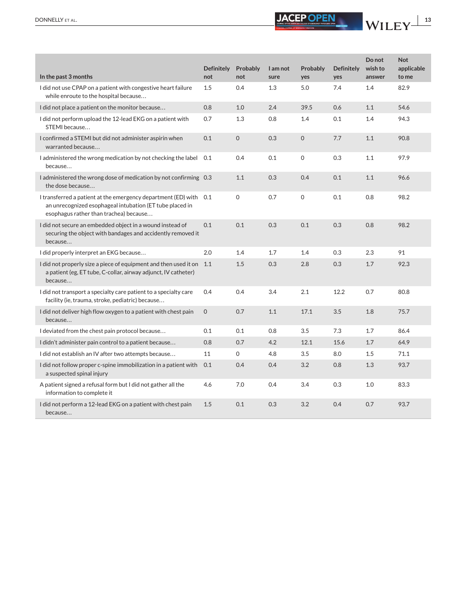

|                                                                                                                                                                         | <b>Definitely</b> | Probably | I am not | Probably    | <b>Definitely</b> | Do not<br>wish to | <b>Not</b><br>applicable |
|-------------------------------------------------------------------------------------------------------------------------------------------------------------------------|-------------------|----------|----------|-------------|-------------------|-------------------|--------------------------|
| In the past 3 months                                                                                                                                                    | not               | not      | sure     | yes         | yes               | answer            | to me                    |
| I did not use CPAP on a patient with congestive heart failure<br>while enroute to the hospital because                                                                  | 1.5               | 0.4      | 1.3      | 5.0         | 7.4               | 1.4               | 82.9                     |
| I did not place a patient on the monitor because                                                                                                                        | 0.8               | 1.0      | 2.4      | 39.5        | 0.6               | 1.1               | 54.6                     |
| I did not perform upload the 12-lead EKG on a patient with<br>STEMI because                                                                                             | 0.7               | 1.3      | 0.8      | 1.4         | 0.1               | 1.4               | 94.3                     |
| I confirmed a STEMI but did not administer aspirin when<br>warranted because                                                                                            | 0.1               | 0        | 0.3      | $\mathbf 0$ | 7.7               | 1.1               | 90.8                     |
| I administered the wrong medication by not checking the label 0.1<br>because                                                                                            |                   | 0.4      | 0.1      | 0           | 0.3               | 1.1               | 97.9                     |
| I administered the wrong dose of medication by not confirming 0.3<br>the dose because                                                                                   |                   | 1.1      | 0.3      | 0.4         | 0.1               | 1.1               | 96.6                     |
| I transferred a patient at the emergency department (ED) with 0.1<br>an unrecognized esophageal intubation (ET tube placed in<br>esophagus rather than trachea) because |                   | 0        | 0.7      | 0           | 0.1               | 0.8               | 98.2                     |
| I did not secure an embedded object in a wound instead of<br>securing the object with bandages and accidently removed it<br>because                                     | 0.1               | 0.1      | 0.3      | 0.1         | 0.3               | 0.8               | 98.2                     |
| I did properly interpret an EKG because                                                                                                                                 | 2.0               | 1.4      | 1.7      | 1.4         | 0.3               | 2.3               | 91                       |
| I did not properly size a piece of equipment and then used it on 1.1<br>a patient (eg, ET tube, C-collar, airway adjunct, IV catheter)<br>because                       |                   | 1.5      | 0.3      | 2.8         | 0.3               | 1.7               | 92.3                     |
| I did not transport a specialty care patient to a specialty care<br>facility (ie, trauma, stroke, pediatric) because                                                    | 0.4               | 0.4      | 3.4      | 2.1         | 12.2              | 0.7               | 80.8                     |
| I did not deliver high flow oxygen to a patient with chest pain<br>because                                                                                              | $\mathbf 0$       | 0.7      | 1.1      | 17.1        | 3.5               | 1.8               | 75.7                     |
| I deviated from the chest pain protocol because                                                                                                                         | 0.1               | 0.1      | 0.8      | 3.5         | 7.3               | 1.7               | 86.4                     |
| I didn't administer pain control to a patient because                                                                                                                   | 0.8               | 0.7      | 4.2      | 12.1        | 15.6              | 1.7               | 64.9                     |
| I did not establish an IV after two attempts because                                                                                                                    | 11                | 0        | 4.8      | 3.5         | 8.0               | 1.5               | 71.1                     |
| I did not follow proper c-spine immobilization in a patient with<br>a suspected spinal injury                                                                           | 0.1               | 0.4      | 0.4      | 3.2         | 0.8               | 1.3               | 93.7                     |
| A patient signed a refusal form but I did not gather all the<br>information to complete it                                                                              | 4.6               | 7.0      | 0.4      | 3.4         | 0.3               | 1.0               | 83.3                     |
| I did not perform a 12-lead EKG on a patient with chest pain<br>because                                                                                                 | 1.5               | 0.1      | 0.3      | 3.2         | 0.4               | 0.7               | 93.7                     |